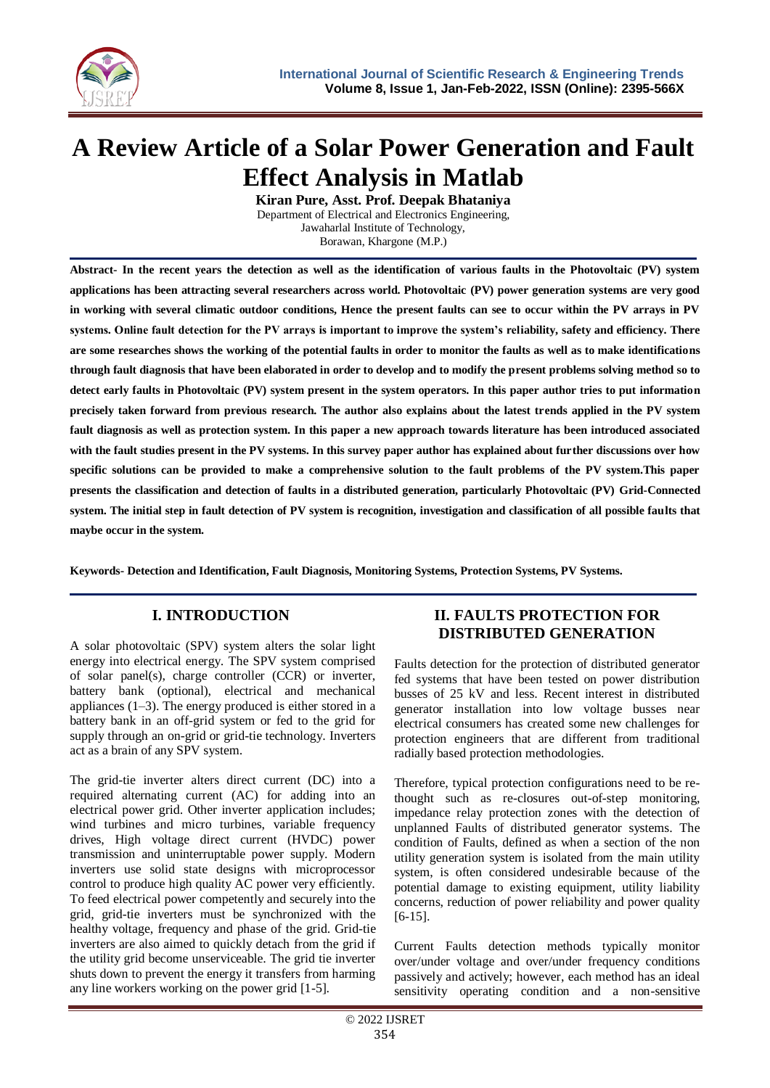

# **A Review Article of a Solar Power Generation and Fault Effect Analysis in Matlab**

**Kiran Pure, Asst. Prof. Deepak Bhataniya** Department of Electrical and Electronics Engineering, Jawaharlal Institute of Technology, Borawan, Khargone (M.P.)

**Abstract- In the recent years the detection as well as the identification of various faults in the Photovoltaic (PV) system applications has been attracting several researchers across world. Photovoltaic (PV) power generation systems are very good in working with several climatic outdoor conditions, Hence the present faults can see to occur within the PV arrays in PV systems. Online fault detection for the PV arrays is important to improve the system's reliability, safety and efficiency. There are some researches shows the working of the potential faults in order to monitor the faults as well as to make identifications through fault diagnosis that have been elaborated in order to develop and to modify the present problems solving method so to detect early faults in Photovoltaic (PV) system present in the system operators. In this paper author tries to put information precisely taken forward from previous research. The author also explains about the latest trends applied in the PV system fault diagnosis as well as protection system. In this paper a new approach towards literature has been introduced associated with the fault studies present in the PV systems. In this survey paper author has explained about further discussions over how specific solutions can be provided to make a comprehensive solution to the fault problems of the PV system.This paper presents the classification and detection of faults in a distributed generation, particularly Photovoltaic (PV) Grid-Connected system. The initial step in fault detection of PV system is recognition, investigation and classification of all possible faults that maybe occur in the system.**

**Keywords- Detection and Identification, Fault Diagnosis, Monitoring Systems, Protection Systems, PV Systems.**

### **I. INTRODUCTION**

A solar photovoltaic (SPV) system alters the solar light energy into electrical energy. The SPV system comprised of solar panel(s), charge controller (CCR) or inverter, battery bank (optional), electrical and mechanical appliances  $(1-3)$ . The energy produced is either stored in a battery bank in an off-grid system or fed to the grid for supply through an on-grid or grid-tie technology. Inverters act as a brain of any SPV system.

The grid-tie inverter alters direct current (DC) into a required alternating current (AC) for adding into an electrical power grid. Other inverter application includes; wind turbines and micro turbines, variable frequency drives, High voltage direct current (HVDC) power transmission and uninterruptable power supply. Modern inverters use solid state designs with microprocessor control to produce high quality AC power very efficiently. To feed electrical power competently and securely into the grid, grid-tie inverters must be synchronized with the healthy voltage, frequency and phase of the grid. Grid-tie inverters are also aimed to quickly detach from the grid if the utility grid become unserviceable. The grid tie inverter shuts down to prevent the energy it transfers from harming any line workers working on the power grid [1-5].

## **II. FAULTS PROTECTION FOR DISTRIBUTED GENERATION**

Faults detection for the protection of distributed generator fed systems that have been tested on power distribution busses of 25 kV and less. Recent interest in distributed generator installation into low voltage busses near electrical consumers has created some new challenges for protection engineers that are different from traditional radially based protection methodologies.

Therefore, typical protection configurations need to be rethought such as re-closures out-of-step monitoring, impedance relay protection zones with the detection of unplanned Faults of distributed generator systems. The condition of Faults, defined as when a section of the non utility generation system is isolated from the main utility system, is often considered undesirable because of the potential damage to existing equipment, utility liability concerns, reduction of power reliability and power quality [6-15].

Current Faults detection methods typically monitor over/under voltage and over/under frequency conditions passively and actively; however, each method has an ideal sensitivity operating condition and a non-sensitive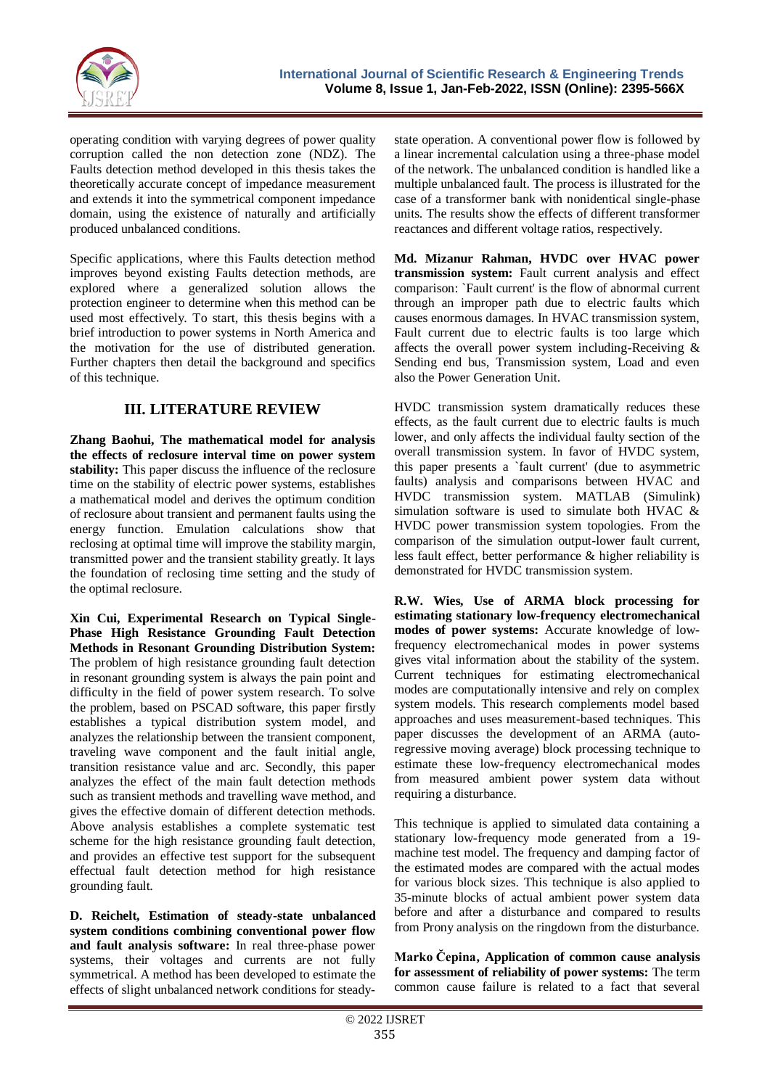

operating condition with varying degrees of power quality corruption called the non detection zone (NDZ). The Faults detection method developed in this thesis takes the theoretically accurate concept of impedance measurement and extends it into the symmetrical component impedance domain, using the existence of naturally and artificially produced unbalanced conditions.

Specific applications, where this Faults detection method improves beyond existing Faults detection methods, are explored where a generalized solution allows the protection engineer to determine when this method can be used most effectively. To start, this thesis begins with a brief introduction to power systems in North America and the motivation for the use of distributed generation. Further chapters then detail the background and specifics of this technique.

# **III. LITERATURE REVIEW**

**Zhang Baohui, The mathematical model for analysis the effects of reclosure interval time on power system stability:** This paper discuss the influence of the reclosure time on the stability of electric power systems, establishes a mathematical model and derives the optimum condition of reclosure about transient and permanent faults using the energy function. Emulation calculations show that reclosing at optimal time will improve the stability margin, transmitted power and the transient stability greatly. It lays the foundation of reclosing time setting and the study of the optimal reclosure.

**Xin Cui, Experimental Research on Typical Single-Phase High Resistance Grounding Fault Detection Methods in Resonant Grounding Distribution System:** The problem of high resistance grounding fault detection in resonant grounding system is always the pain point and difficulty in the field of power system research. To solve the problem, based on PSCAD software, this paper firstly establishes a typical distribution system model, and analyzes the relationship between the transient component, traveling wave component and the fault initial angle, transition resistance value and arc. Secondly, this paper analyzes the effect of the main fault detection methods such as transient methods and travelling wave method, and gives the effective domain of different detection methods. Above analysis establishes a complete systematic test scheme for the high resistance grounding fault detection, and provides an effective test support for the subsequent effectual fault detection method for high resistance grounding fault.

**D. Reichelt, Estimation of steady-state unbalanced system conditions combining conventional power flow and fault analysis software:** In real three-phase power systems, their voltages and currents are not fully symmetrical. A method has been developed to estimate the effects of slight unbalanced network conditions for steady-

state operation. A conventional power flow is followed by a linear incremental calculation using a three-phase model of the network. The unbalanced condition is handled like a multiple unbalanced fault. The process is illustrated for the case of a transformer bank with nonidentical single-phase units. The results show the effects of different transformer reactances and different voltage ratios, respectively.

**Md. Mizanur Rahman, HVDC over HVAC power transmission system:** Fault current analysis and effect comparison: `Fault current' is the flow of abnormal current through an improper path due to electric faults which causes enormous damages. In HVAC transmission system, Fault current due to electric faults is too large which affects the overall power system including-Receiving & Sending end bus, Transmission system, Load and even also the Power Generation Unit.

HVDC transmission system dramatically reduces these effects, as the fault current due to electric faults is much lower, and only affects the individual faulty section of the overall transmission system. In favor of HVDC system, this paper presents a `fault current' (due to asymmetric faults) analysis and comparisons between HVAC and HVDC transmission system. MATLAB (Simulink) simulation software is used to simulate both HVAC & HVDC power transmission system topologies. From the comparison of the simulation output-lower fault current, less fault effect, better performance & higher reliability is demonstrated for HVDC transmission system.

**R.W. Wies, Use of ARMA block processing for estimating stationary low-frequency electromechanical modes of power systems:** Accurate knowledge of lowfrequency electromechanical modes in power systems gives vital information about the stability of the system. Current techniques for estimating electromechanical modes are computationally intensive and rely on complex system models. This research complements model based approaches and uses measurement-based techniques. This paper discusses the development of an ARMA (autoregressive moving average) block processing technique to estimate these low-frequency electromechanical modes from measured ambient power system data without requiring a disturbance.

This technique is applied to simulated data containing a stationary low-frequency mode generated from a 19 machine test model. The frequency and damping factor of the estimated modes are compared with the actual modes for various block sizes. This technique is also applied to 35-minute blocks of actual ambient power system data before and after a disturbance and compared to results from Prony analysis on the ringdown from the disturbance.

**Marko C̆epina, Application of common cause analysis for assessment of reliability of power systems:** The term common cause failure is related to a fact that several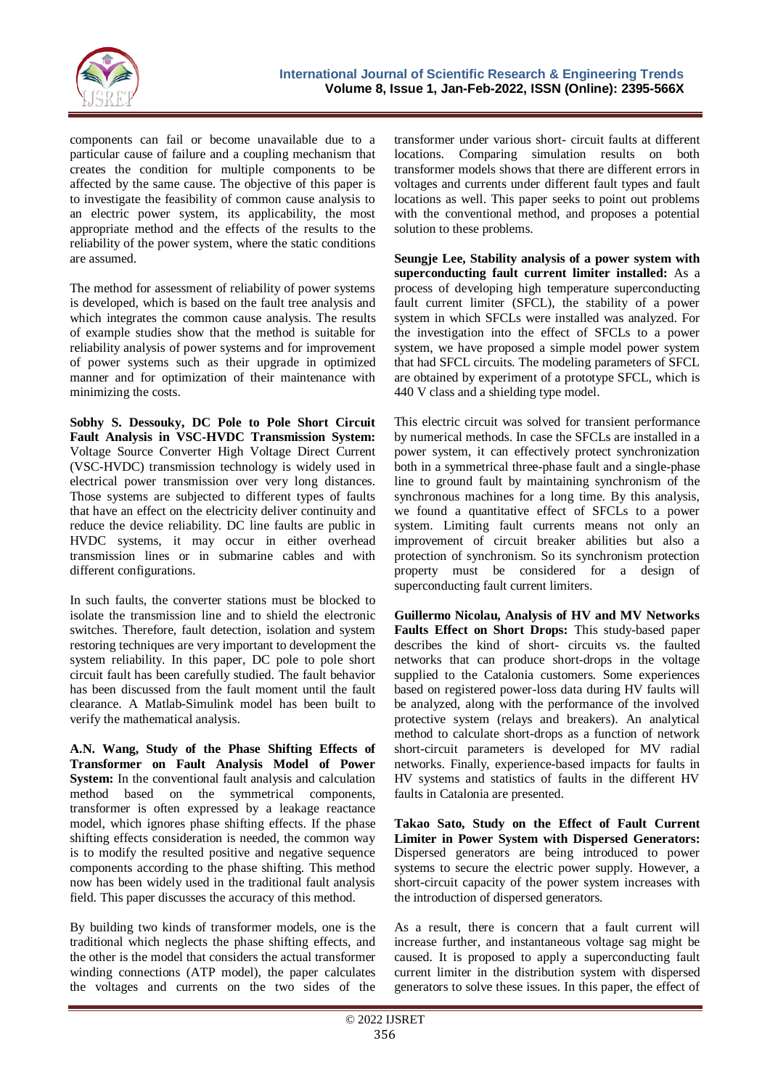

components can fail or become unavailable due to a particular cause of failure and a coupling mechanism that creates the condition for multiple components to be affected by the same cause. The objective of this paper is to investigate the feasibility of common cause analysis to an electric power system, its applicability, the most appropriate method and the effects of the results to the reliability of the power system, where the static conditions are assumed.

The method for assessment of reliability of power systems is developed, which is based on the fault tree analysis and which integrates the common cause analysis. The results of example studies show that the method is suitable for reliability analysis of power systems and for improvement of power systems such as their upgrade in optimized manner and for optimization of their maintenance with minimizing the costs.

**Sobhy S. Dessouky, DC Pole to Pole Short Circuit Fault Analysis in VSC-HVDC Transmission System:** Voltage Source Converter High Voltage Direct Current (VSC-HVDC) transmission technology is widely used in electrical power transmission over very long distances. Those systems are subjected to different types of faults that have an effect on the electricity deliver continuity and reduce the device reliability. DC line faults are public in HVDC systems, it may occur in either overhead transmission lines or in submarine cables and with different configurations.

In such faults, the converter stations must be blocked to isolate the transmission line and to shield the electronic switches. Therefore, fault detection, isolation and system restoring techniques are very important to development the system reliability. In this paper, DC pole to pole short circuit fault has been carefully studied. The fault behavior has been discussed from the fault moment until the fault clearance. A Matlab-Simulink model has been built to verify the mathematical analysis.

**A.N. Wang, Study of the Phase Shifting Effects of Transformer on Fault Analysis Model of Power System:** In the conventional fault analysis and calculation method based on the symmetrical components, transformer is often expressed by a leakage reactance model, which ignores phase shifting effects. If the phase shifting effects consideration is needed, the common way is to modify the resulted positive and negative sequence components according to the phase shifting. This method now has been widely used in the traditional fault analysis field. This paper discusses the accuracy of this method.

By building two kinds of transformer models, one is the traditional which neglects the phase shifting effects, and the other is the model that considers the actual transformer winding connections (ATP model), the paper calculates the voltages and currents on the two sides of the

transformer under various short- circuit faults at different locations. Comparing simulation results on both transformer models shows that there are different errors in voltages and currents under different fault types and fault locations as well. This paper seeks to point out problems with the conventional method, and proposes a potential solution to these problems.

**Seungje Lee, Stability analysis of a power system with superconducting fault current limiter installed:** As a process of developing high temperature superconducting fault current limiter (SFCL), the stability of a power system in which SFCLs were installed was analyzed. For the investigation into the effect of SFCLs to a power system, we have proposed a simple model power system that had SFCL circuits. The modeling parameters of SFCL are obtained by experiment of a prototype SFCL, which is 440 V class and a shielding type model.

This electric circuit was solved for transient performance by numerical methods. In case the SFCLs are installed in a power system, it can effectively protect synchronization both in a symmetrical three-phase fault and a single-phase line to ground fault by maintaining synchronism of the synchronous machines for a long time. By this analysis, we found a quantitative effect of SFCLs to a power system. Limiting fault currents means not only an improvement of circuit breaker abilities but also a protection of synchronism. So its synchronism protection property must be considered for a design of superconducting fault current limiters.

**Guillermo Nicolau, Analysis of HV and MV Networks Faults Effect on Short Drops:** This study-based paper describes the kind of short- circuits vs. the faulted networks that can produce short-drops in the voltage supplied to the Catalonia customers. Some experiences based on registered power-loss data during HV faults will be analyzed, along with the performance of the involved protective system (relays and breakers). An analytical method to calculate short-drops as a function of network short-circuit parameters is developed for MV radial networks. Finally, experience-based impacts for faults in HV systems and statistics of faults in the different HV faults in Catalonia are presented.

**Takao Sato, Study on the Effect of Fault Current Limiter in Power System with Dispersed Generators:** Dispersed generators are being introduced to power systems to secure the electric power supply. However, a short-circuit capacity of the power system increases with the introduction of dispersed generators.

As a result, there is concern that a fault current will increase further, and instantaneous voltage sag might be caused. It is proposed to apply a superconducting fault current limiter in the distribution system with dispersed generators to solve these issues. In this paper, the effect of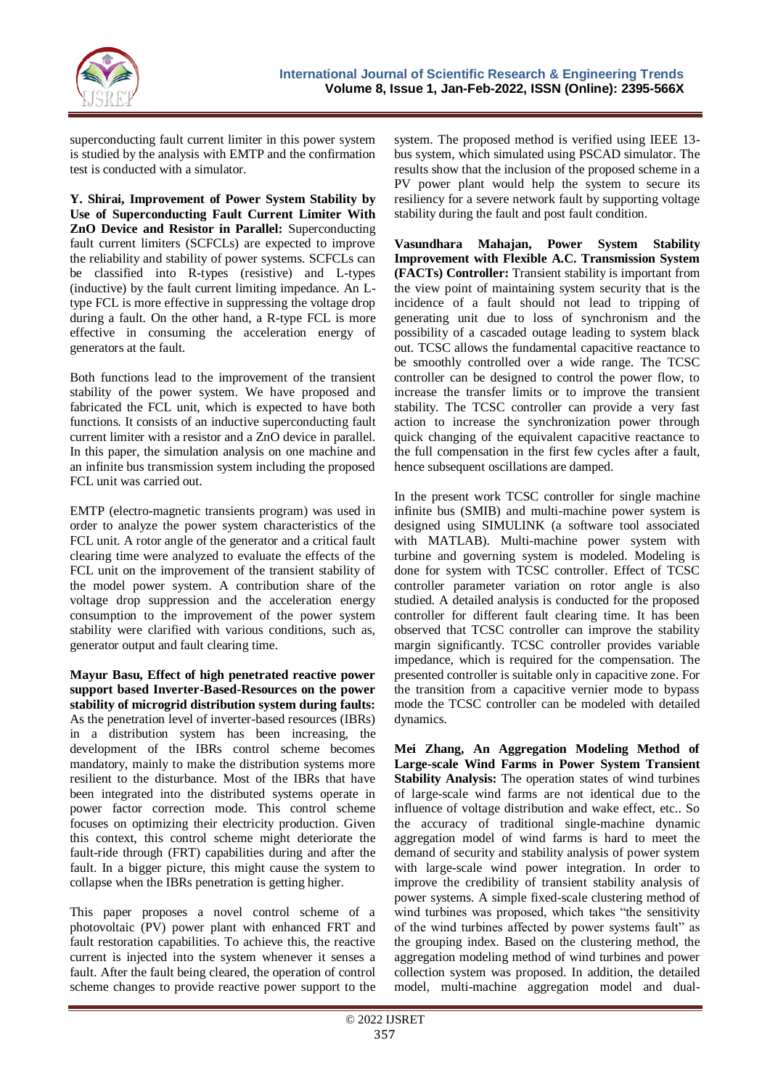

superconducting fault current limiter in this power system is studied by the analysis with EMTP and the confirmation test is conducted with a simulator.

**Y. Shirai, Improvement of Power System Stability by Use of Superconducting Fault Current Limiter With ZnO Device and Resistor in Parallel:** Superconducting fault current limiters (SCFCLs) are expected to improve the reliability and stability of power systems. SCFCLs can be classified into R-types (resistive) and L-types (inductive) by the fault current limiting impedance. An Ltype FCL is more effective in suppressing the voltage drop during a fault. On the other hand, a R-type FCL is more effective in consuming the acceleration energy of generators at the fault.

Both functions lead to the improvement of the transient stability of the power system. We have proposed and fabricated the FCL unit, which is expected to have both functions. It consists of an inductive superconducting fault current limiter with a resistor and a ZnO device in parallel. In this paper, the simulation analysis on one machine and an infinite bus transmission system including the proposed FCL unit was carried out.

EMTP (electro-magnetic transients program) was used in order to analyze the power system characteristics of the FCL unit. A rotor angle of the generator and a critical fault clearing time were analyzed to evaluate the effects of the FCL unit on the improvement of the transient stability of the model power system. A contribution share of the voltage drop suppression and the acceleration energy consumption to the improvement of the power system stability were clarified with various conditions, such as, generator output and fault clearing time.

**Mayur Basu, Effect of high penetrated reactive power support based Inverter-Based-Resources on the power stability of microgrid distribution system during faults:** As the penetration level of inverter-based resources (IBRs) in a distribution system has been increasing, the development of the IBRs control scheme becomes mandatory, mainly to make the distribution systems more resilient to the disturbance. Most of the IBRs that have been integrated into the distributed systems operate in power factor correction mode. This control scheme focuses on optimizing their electricity production. Given this context, this control scheme might deteriorate the fault-ride through (FRT) capabilities during and after the fault. In a bigger picture, this might cause the system to collapse when the IBRs penetration is getting higher.

This paper proposes a novel control scheme of a photovoltaic (PV) power plant with enhanced FRT and fault restoration capabilities. To achieve this, the reactive current is injected into the system whenever it senses a fault. After the fault being cleared, the operation of control scheme changes to provide reactive power support to the

system. The proposed method is verified using IEEE 13 bus system, which simulated using PSCAD simulator. The results show that the inclusion of the proposed scheme in a PV power plant would help the system to secure its resiliency for a severe network fault by supporting voltage stability during the fault and post fault condition.

**Vasundhara Mahajan, Power System Stability Improvement with Flexible A.C. Transmission System (FACTs) Controller:** Transient stability is important from the view point of maintaining system security that is the incidence of a fault should not lead to tripping of generating unit due to loss of synchronism and the possibility of a cascaded outage leading to system black out. TCSC allows the fundamental capacitive reactance to be smoothly controlled over a wide range. The TCSC controller can be designed to control the power flow, to increase the transfer limits or to improve the transient stability. The TCSC controller can provide a very fast action to increase the synchronization power through quick changing of the equivalent capacitive reactance to the full compensation in the first few cycles after a fault, hence subsequent oscillations are damped.

In the present work TCSC controller for single machine infinite bus (SMIB) and multi-machine power system is designed using SIMULINK (a software tool associated with MATLAB). Multi-machine power system with turbine and governing system is modeled. Modeling is done for system with TCSC controller. Effect of TCSC controller parameter variation on rotor angle is also studied. A detailed analysis is conducted for the proposed controller for different fault clearing time. It has been observed that TCSC controller can improve the stability margin significantly. TCSC controller provides variable impedance, which is required for the compensation. The presented controller is suitable only in capacitive zone. For the transition from a capacitive vernier mode to bypass mode the TCSC controller can be modeled with detailed dynamics.

**Mei Zhang, An Aggregation Modeling Method of Large-scale Wind Farms in Power System Transient Stability Analysis:** The operation states of wind turbines of large-scale wind farms are not identical due to the influence of voltage distribution and wake effect, etc.. So the accuracy of traditional single-machine dynamic aggregation model of wind farms is hard to meet the demand of security and stability analysis of power system with large-scale wind power integration. In order to improve the credibility of transient stability analysis of power systems. A simple fixed-scale clustering method of wind turbines was proposed, which takes "the sensitivity of the wind turbines affected by power systems fault" as the grouping index. Based on the clustering method, the aggregation modeling method of wind turbines and power collection system was proposed. In addition, the detailed model, multi-machine aggregation model and dual-